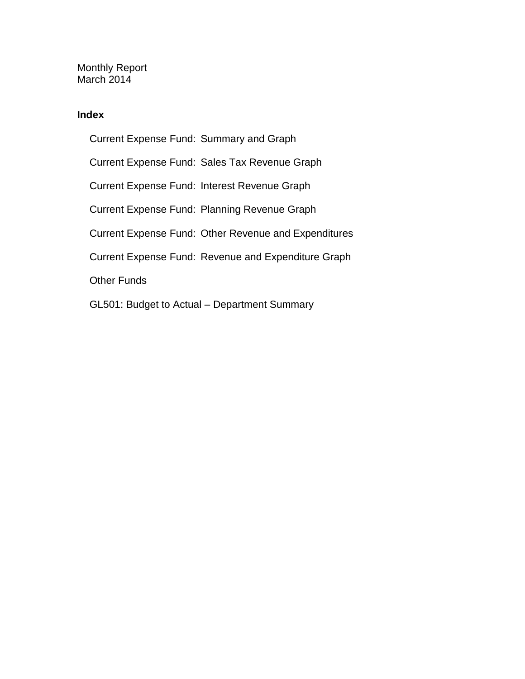Monthly Report March 2014

#### **Index**

Current Expense Fund: Summary and Graph Current Expense Fund: Sales Tax Revenue Graph Current Expense Fund: Interest Revenue Graph Current Expense Fund: Planning Revenue Graph Current Expense Fund: Other Revenue and Expenditures Current Expense Fund: Revenue and Expenditure Graph Other Funds GL501: Budget to Actual – Department Summary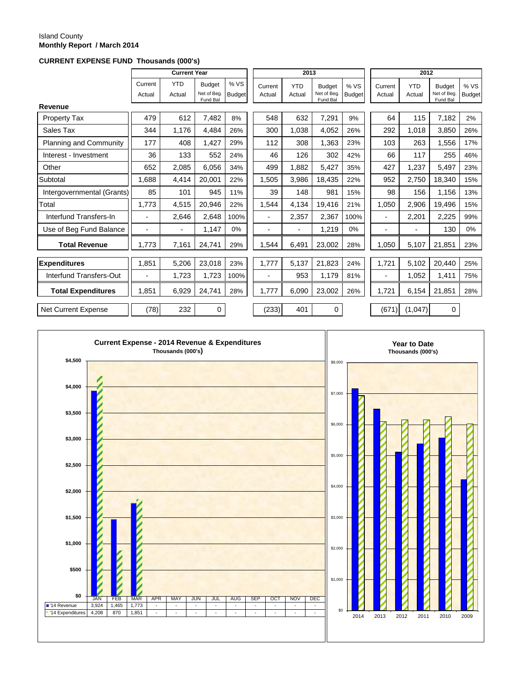#### Island County **Monthly Report / March 2014**

#### **CURRENT EXPENSE FUND Thousands (000's)**

|                            |                          | <b>Current Year</b>      |                                          |                       |                          | 2013                 |                                          |                      |                   | 2012                     |                                          |                       |
|----------------------------|--------------------------|--------------------------|------------------------------------------|-----------------------|--------------------------|----------------------|------------------------------------------|----------------------|-------------------|--------------------------|------------------------------------------|-----------------------|
|                            | Current<br>Actual        | <b>YTD</b><br>Actual     | <b>Budget</b><br>Net of Beg.<br>Fund Bal | % VS<br><b>Budget</b> | Current<br>Actual        | <b>YTD</b><br>Actual | <b>Budget</b><br>Net of Beg.<br>Fund Bal | %VS<br><b>Budget</b> | Current<br>Actual | <b>YTD</b><br>Actual     | <b>Budget</b><br>Net of Beg.<br>Fund Bal | % VS<br><b>Budget</b> |
| Revenue                    |                          |                          |                                          |                       |                          |                      |                                          |                      |                   |                          |                                          |                       |
| <b>Property Tax</b>        | 479                      | 612                      | 7,482                                    | 8%                    | 548                      | 632                  | 7,291                                    | 9%                   | 64                | 115                      | 7,182                                    | 2%                    |
| Sales Tax                  | 344                      | 1,176                    | 4,484                                    | 26%                   | 300                      | 1,038                | 4,052                                    | 26%                  | 292               | 1,018                    | 3,850                                    | 26%                   |
| Planning and Community     | 177                      | 408                      | 1,427                                    | 29%                   | 112                      | 308                  | 1,363                                    | 23%                  | 103               | 263                      | 1,556                                    | 17%                   |
| Interest - Investment      | 36                       | 133                      | 552                                      | 24%                   | 46                       | 126                  | 302                                      | 42%                  | 66                | 117                      | 255                                      | 46%                   |
| Other                      | 652                      | 2,085                    | 6,056                                    | 34%                   | 499                      | 1.882                | 5,427                                    | 35%                  | 427               | 1,237                    | 5,497                                    | 23%                   |
| Subtotal                   | 1,688                    | 4,414                    | 20,001                                   | 22%                   | 1,505                    | 3,986                | 18,435                                   | 22%                  | 952               | 2,750                    | 18,340                                   | 15%                   |
| Intergovernmental (Grants) | 85                       | 101                      | 945                                      | 11%                   | 39                       | 148                  | 981                                      | 15%                  | 98                | 156                      | 1,156                                    | 13%                   |
| Total                      | 1,773                    | 4,515                    | 20,946                                   | 22%                   | 1,544                    | 4,134                | 19,416                                   | 21%                  | 1,050             | 2,906                    | 19,496                                   | 15%                   |
| Interfund Transfers-In     | $\overline{\phantom{0}}$ | 2,646                    | 2,648                                    | 100%                  | $\blacksquare$           | 2,357                | 2,367                                    | 100%                 | $\blacksquare$    | 2,201                    | 2,225                                    | 99%                   |
| Use of Beg Fund Balance    | -                        | $\overline{\phantom{0}}$ | 1,147                                    | 0%                    | $\blacksquare$           | $\blacksquare$       | 1,219                                    | 0%                   | $\blacksquare$    | $\overline{\phantom{a}}$ | 130                                      | 0%                    |
| <b>Total Revenue</b>       | 1.773                    | 7,161                    | 24,741                                   | 29%                   | 1.544                    | 6.491                | 23,002                                   | 28%                  | 1.050             | 5,107                    | 21,851                                   | 23%                   |
| <b>Expenditures</b>        | 1,851                    | 5,206                    | 23,018                                   | 23%                   | 1,777                    | 5,137                | 21,823                                   | 24%                  | 1,721             | 5,102                    | 20,440                                   | 25%                   |
| Interfund Transfers-Out    | $\blacksquare$           | 1,723                    | 1,723                                    | 100%                  | $\overline{\phantom{a}}$ | 953                  | 1,179                                    | 81%                  | -                 | 1,052                    | 1,411                                    | 75%                   |
| <b>Total Expenditures</b>  | 1.851                    | 6,929                    | 24,741                                   | 28%                   | 1.777                    | 6,090                | 23,002                                   | 26%                  | 1.721             | 6,154                    | 21,851                                   | 28%                   |
| Net Current Expense        | (78)                     | 232                      | 0                                        |                       | (233)                    | 401                  | 0                                        |                      | (671)             | (1,047)                  | 0                                        |                       |

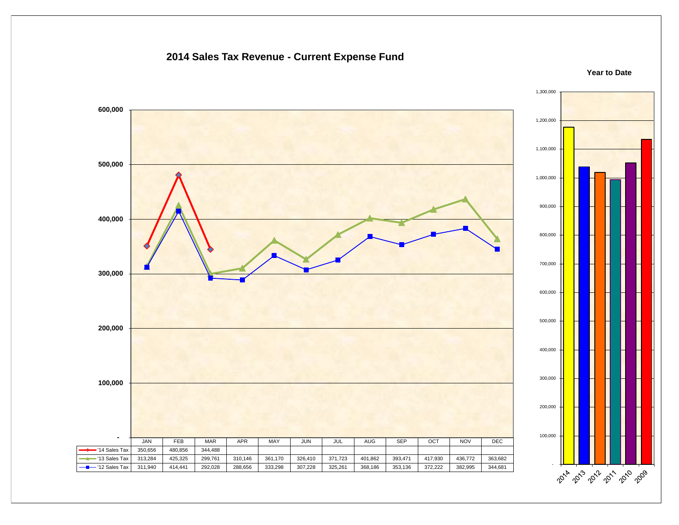#### **2014 Sales Tax Revenue - Current Expense Fund**



**Year to Date**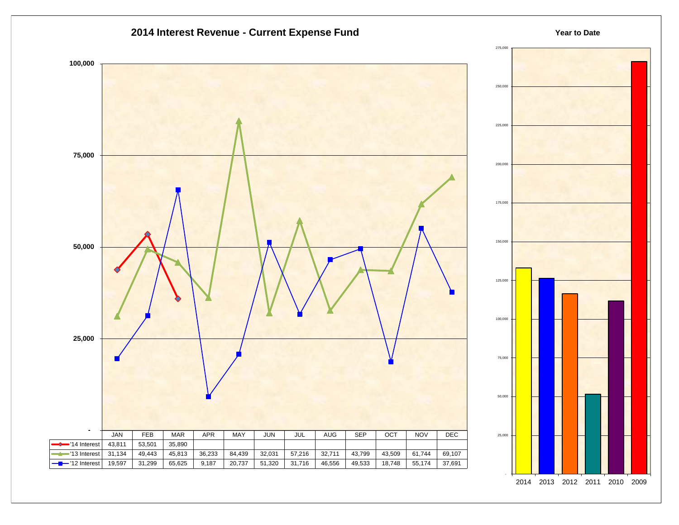



**Year to Date**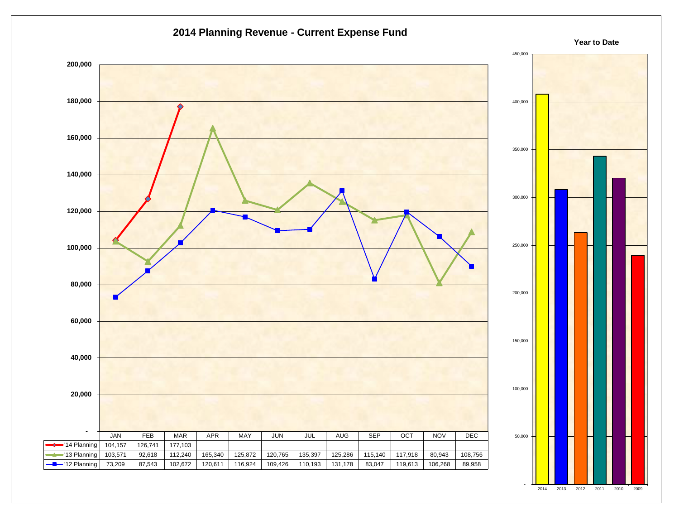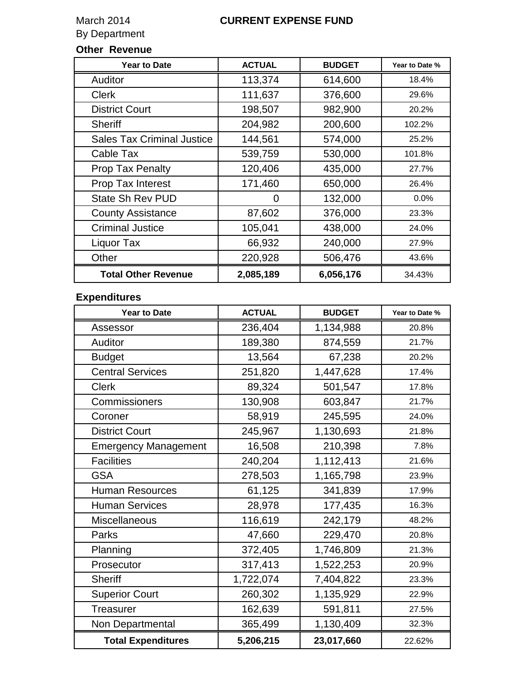# By Department

#### March 2014 **CURRENT EXPENSE FUND**

# **Other Revenue**

| <b>Year to Date</b>               | <b>ACTUAL</b> | <b>BUDGET</b> | Year to Date % |
|-----------------------------------|---------------|---------------|----------------|
| Auditor                           | 113,374       | 614,600       | 18.4%          |
| <b>Clerk</b>                      | 111,637       | 376,600       | 29.6%          |
| <b>District Court</b>             | 198,507       | 982,900       | 20.2%          |
| <b>Sheriff</b>                    | 204,982       | 200,600       | 102.2%         |
| <b>Sales Tax Criminal Justice</b> | 144,561       | 574,000       | 25.2%          |
| Cable Tax                         | 539,759       | 530,000       | 101.8%         |
| <b>Prop Tax Penalty</b>           | 120,406       | 435,000       | 27.7%          |
| <b>Prop Tax Interest</b>          | 171,460       | 650,000       | 26.4%          |
| <b>State Sh Rev PUD</b>           | 0             | 132,000       | $0.0\%$        |
| <b>County Assistance</b>          | 87,602        | 376,000       | 23.3%          |
| <b>Criminal Justice</b>           | 105,041       | 438,000       | 24.0%          |
| Liquor Tax                        | 66,932        | 240,000       | 27.9%          |
| Other                             | 220,928       | 506,476       | 43.6%          |
| <b>Total Other Revenue</b>        | 2,085,189     | 6,056,176     | 34.43%         |

### **Expenditures**

| <b>Year to Date</b>         | <b>ACTUAL</b> | <b>BUDGET</b> | Year to Date % |
|-----------------------------|---------------|---------------|----------------|
| Assessor                    | 236,404       | 1,134,988     | 20.8%          |
| Auditor                     | 189,380       | 874,559       | 21.7%          |
| <b>Budget</b>               | 13,564        | 67,238        | 20.2%          |
| <b>Central Services</b>     | 251,820       | 1,447,628     | 17.4%          |
| <b>Clerk</b>                | 89,324        | 501,547       | 17.8%          |
| Commissioners               | 130,908       | 603,847       | 21.7%          |
| Coroner                     | 58,919        | 245,595       | 24.0%          |
| <b>District Court</b>       | 245,967       | 1,130,693     | 21.8%          |
| <b>Emergency Management</b> | 16,508        | 210,398       | 7.8%           |
| <b>Facilities</b>           | 240,204       | 1,112,413     | 21.6%          |
| <b>GSA</b>                  | 278,503       | 1,165,798     | 23.9%          |
| <b>Human Resources</b>      | 61,125        | 341,839       | 17.9%          |
| <b>Human Services</b>       | 28,978        | 177,435       | 16.3%          |
| <b>Miscellaneous</b>        | 116,619       | 242,179       | 48.2%          |
| Parks                       | 47,660        | 229,470       | 20.8%          |
| Planning                    | 372,405       | 1,746,809     | 21.3%          |
| Prosecutor                  | 317,413       | 1,522,253     | 20.9%          |
| <b>Sheriff</b>              | 1,722,074     | 7,404,822     | 23.3%          |
| <b>Superior Court</b>       | 260,302       | 1,135,929     | 22.9%          |
| <b>Treasurer</b>            | 162,639       | 591,811       | 27.5%          |
| Non Departmental            | 365,499       | 1,130,409     | 32.3%          |
| <b>Total Expenditures</b>   | 5,206,215     | 23,017,660    | 22.62%         |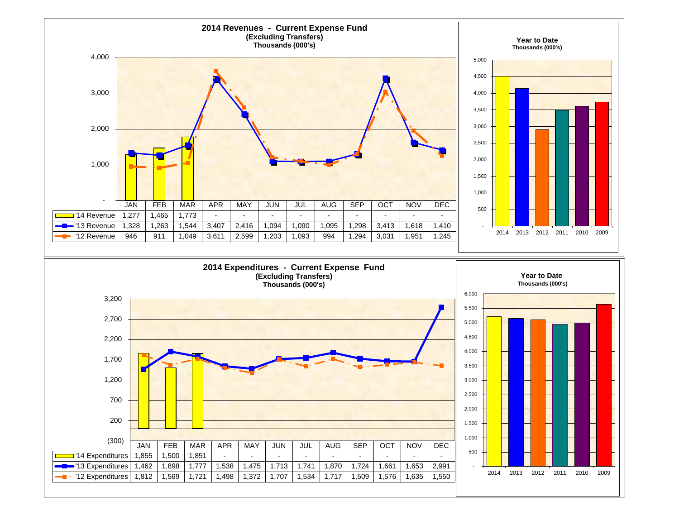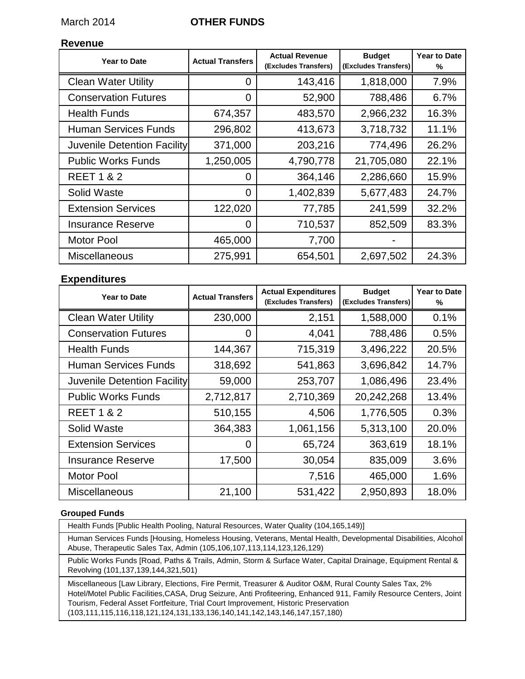#### March 2014 **OTHER FUNDS**

#### **Revenue**

| <b>Year to Date</b>         | <b>Actual Transfers</b> | <b>Actual Revenue</b><br>(Excludes Transfers) | <b>Budget</b><br>(Excludes Transfers) | Year to Date<br>℅ |
|-----------------------------|-------------------------|-----------------------------------------------|---------------------------------------|-------------------|
| <b>Clean Water Utility</b>  | 0                       | 143,416                                       | 1,818,000                             | 7.9%              |
| <b>Conservation Futures</b> | 0                       | 52,900                                        | 788,486                               | 6.7%              |
| <b>Health Funds</b>         | 674,357                 | 483,570                                       | 2,966,232                             | 16.3%             |
| <b>Human Services Funds</b> | 296,802                 | 413,673                                       | 3,718,732                             | 11.1%             |
| Juvenile Detention Facility | 371,000                 | 203,216                                       | 774,496                               | 26.2%             |
| <b>Public Works Funds</b>   | 1,250,005               | 4,790,778                                     | 21,705,080                            | 22.1%             |
| <b>REET 1 &amp; 2</b>       | 0                       | 364,146                                       | 2,286,660                             | 15.9%             |
| Solid Waste                 | 0                       | 1,402,839                                     | 5,677,483                             | 24.7%             |
| <b>Extension Services</b>   | 122,020                 | 77,785                                        | 241,599                               | 32.2%             |
| <b>Insurance Reserve</b>    | 0                       | 710,537                                       | 852,509                               | 83.3%             |
| <b>Motor Pool</b>           | 465,000                 | 7,700                                         |                                       |                   |
| Miscellaneous               | 275,991                 | 654,501                                       | 2,697,502                             | 24.3%             |

#### **Expenditures**

| <b>Year to Date</b>         | <b>Actual Transfers</b> | <b>Actual Expenditures</b><br>(Excludes Transfers) | <b>Budget</b><br>(Excludes Transfers) | Year to Date<br>℅ |
|-----------------------------|-------------------------|----------------------------------------------------|---------------------------------------|-------------------|
| <b>Clean Water Utility</b>  | 230,000                 | 2,151                                              | 1,588,000                             | 0.1%              |
| <b>Conservation Futures</b> | 0                       | 4,041                                              | 788,486                               | 0.5%              |
| <b>Health Funds</b>         | 144,367                 | 715,319                                            | 3,496,222                             | 20.5%             |
| <b>Human Services Funds</b> | 318,692                 | 541,863                                            | 3,696,842                             | 14.7%             |
| Juvenile Detention Facility | 59,000                  | 253,707                                            | 1,086,496                             | 23.4%             |
| <b>Public Works Funds</b>   | 2,712,817               | 2,710,369                                          | 20,242,268                            | 13.4%             |
| <b>REET 1 &amp; 2</b>       | 510,155                 | 4,506                                              | 1,776,505                             | 0.3%              |
| Solid Waste                 | 364,383                 | 1,061,156                                          | 5,313,100                             | 20.0%             |
| <b>Extension Services</b>   | 0                       | 65,724                                             | 363,619                               | 18.1%             |
| <b>Insurance Reserve</b>    | 17,500                  | 30,054                                             | 835,009                               | 3.6%              |
| <b>Motor Pool</b>           |                         | 7,516                                              | 465,000                               | 1.6%              |
| <b>Miscellaneous</b>        | 21,100                  | 531,422                                            | 2,950,893                             | 18.0%             |

#### **Grouped Funds**

Health Funds [Public Health Pooling, Natural Resources, Water Quality (104,165,149)]

Human Services Funds [Housing, Homeless Housing, Veterans, Mental Health, Developmental Disabilities, Alcohol Abuse, Therapeutic Sales Tax, Admin (105,106,107,113,114,123,126,129)

Public Works Funds [Road, Paths & Trails, Admin, Storm & Surface Water, Capital Drainage, Equipment Rental & Revolving (101,137,139,144,321,501)

Miscellaneous [Law Library, Elections, Fire Permit, Treasurer & Auditor O&M, Rural County Sales Tax, 2% Hotel/Motel Public Facilities,CASA, Drug Seizure, Anti Profiteering, Enhanced 911, Family Resource Centers, Joint Tourism, Federal Asset Fortfeiture, Trial Court Improvement, Historic Preservation (103,111,115,116,118,121,124,131,133,136,140,141,142,143,146,147,157,180)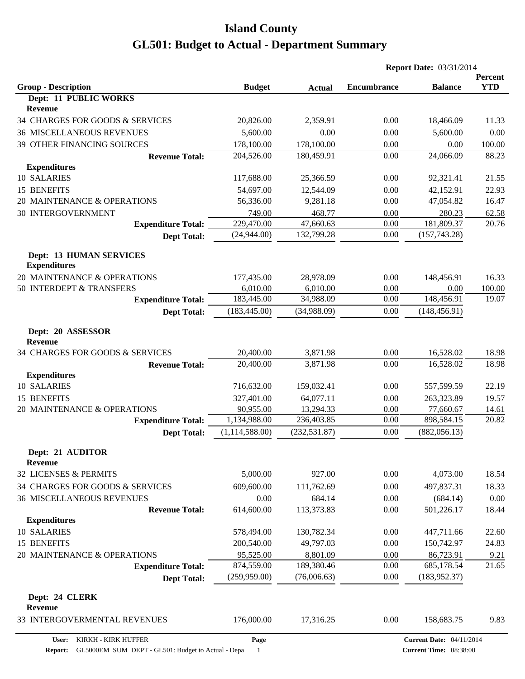|                                                |                  |               | <b>Report Date: 03/31/2014</b> |                                         |                       |
|------------------------------------------------|------------------|---------------|--------------------------------|-----------------------------------------|-----------------------|
| <b>Group - Description</b>                     | <b>Budget</b>    | <b>Actual</b> | <b>Encumbrance</b>             | <b>Balance</b>                          | Percent<br><b>YTD</b> |
| Dept: 11 PUBLIC WORKS<br><b>Revenue</b>        |                  |               |                                |                                         |                       |
| 34 CHARGES FOR GOODS & SERVICES                | 20,826.00        | 2,359.91      | 0.00                           | 18,466.09                               | 11.33                 |
| <b>36 MISCELLANEOUS REVENUES</b>               | 5,600.00         | 0.00          | 0.00                           | 5,600.00                                | 0.00                  |
| 39 OTHER FINANCING SOURCES                     | 178,100.00       | 178,100.00    | 0.00                           | 0.00                                    | 100.00                |
| <b>Revenue Total:</b>                          | 204,526.00       | 180,459.91    | 0.00                           | 24,066.09                               | 88.23                 |
| <b>Expenditures</b>                            |                  |               |                                |                                         |                       |
| 10 SALARIES                                    | 117,688.00       | 25,366.59     | 0.00                           | 92,321.41                               | 21.55                 |
| 15 BENEFITS                                    | 54,697.00        | 12,544.09     | 0.00                           | 42,152.91                               | 22.93                 |
| 20 MAINTENANCE & OPERATIONS                    | 56,336.00        | 9,281.18      | 0.00                           | 47,054.82                               | 16.47                 |
| <b>30 INTERGOVERNMENT</b>                      | 749.00           | 468.77        | 0.00                           | 280.23                                  | 62.58                 |
| <b>Expenditure Total:</b>                      | 229,470.00       | 47,660.63     | 0.00                           | 181,809.37                              | 20.76                 |
| <b>Dept Total:</b>                             | (24,944.00)      | 132,799.28    | 0.00                           | (157, 743.28)                           |                       |
| Dept: 13 HUMAN SERVICES<br><b>Expenditures</b> |                  |               |                                |                                         |                       |
| 20 MAINTENANCE & OPERATIONS                    | 177,435.00       | 28,978.09     | 0.00                           | 148,456.91                              | 16.33                 |
| 50 INTERDEPT & TRANSFERS                       | 6,010.00         | 6,010.00      | 0.00                           | 0.00                                    | 100.00                |
| <b>Expenditure Total:</b>                      | 183,445.00       | 34,988.09     | 0.00                           | 148,456.91                              | 19.07                 |
| <b>Dept Total:</b>                             | (183, 445.00)    | (34,988.09)   | 0.00                           | (148, 456.91)                           |                       |
| Dept: 20 ASSESSOR<br><b>Revenue</b>            |                  |               |                                |                                         |                       |
| 34 CHARGES FOR GOODS & SERVICES                | 20,400.00        | 3,871.98      | 0.00                           | 16,528.02                               | 18.98                 |
| <b>Revenue Total:</b>                          | 20,400.00        | 3,871.98      | 0.00                           | 16,528.02                               | 18.98                 |
| <b>Expenditures</b>                            |                  |               |                                |                                         |                       |
| 10 SALARIES                                    | 716,632.00       | 159,032.41    | 0.00                           | 557,599.59                              | 22.19                 |
| 15 BENEFITS                                    | 327,401.00       | 64,077.11     | 0.00                           | 263,323.89                              | 19.57                 |
| 20 MAINTENANCE & OPERATIONS                    | 90,955.00        | 13,294.33     | 0.00                           | 77,660.67                               | 14.61                 |
| <b>Expenditure Total:</b>                      | 1,134,988.00     | 236,403.85    | 0.00                           | 898,584.15<br>(882, 056.13)<br>4,073.00 | 20.82                 |
| <b>Dept Total:</b>                             | (1, 114, 588.00) | (232, 531.87) | 0.00                           |                                         |                       |
| Dept: 21 AUDITOR<br><b>Revenue</b>             |                  |               |                                |                                         |                       |
| 32 LICENSES & PERMITS                          | 5,000.00         | 927.00        | 0.00                           |                                         | 18.54                 |
| 34 CHARGES FOR GOODS & SERVICES                | 609,600.00       | 111,762.69    | 0.00                           | 497,837.31                              | 18.33                 |
| <b>36 MISCELLANEOUS REVENUES</b>               | 0.00             | 684.14        | 0.00                           | (684.14)                                | 0.00                  |
| <b>Revenue Total:</b>                          | 614,600.00       | 113,373.83    | 0.00                           | 501,226.17                              | 18.44                 |
| <b>Expenditures</b>                            |                  |               |                                |                                         |                       |
| 10 SALARIES                                    | 578,494.00       | 130,782.34    | 0.00                           | 447,711.66                              | 22.60                 |
| 15 BENEFITS                                    | 200,540.00       | 49,797.03     | 0.00                           | 150,742.97                              | 24.83                 |
| 20 MAINTENANCE & OPERATIONS                    | 95,525.00        | 8,801.09      | 0.00                           | 86,723.91                               | 9.21                  |
| <b>Expenditure Total:</b>                      | 874,559.00       | 189,380.46    | 0.00                           | 685,178.54                              | 21.65                 |
| <b>Dept Total:</b>                             | (259,959.00)     | (76,006.63)   | 0.00                           | (183, 952.37)                           |                       |
| Dept: 24 CLERK<br><b>Revenue</b>               |                  |               |                                |                                         |                       |
| 33 INTERGOVERMENTAL REVENUES                   | 176,000.00       | 17,316.25     | 0.00                           | 158,683.75                              | 9.83                  |
| User:<br>KIRKH - KIRK HUFFER                   | Page             |               |                                | <b>Current Date: 04/11/2014</b>         |                       |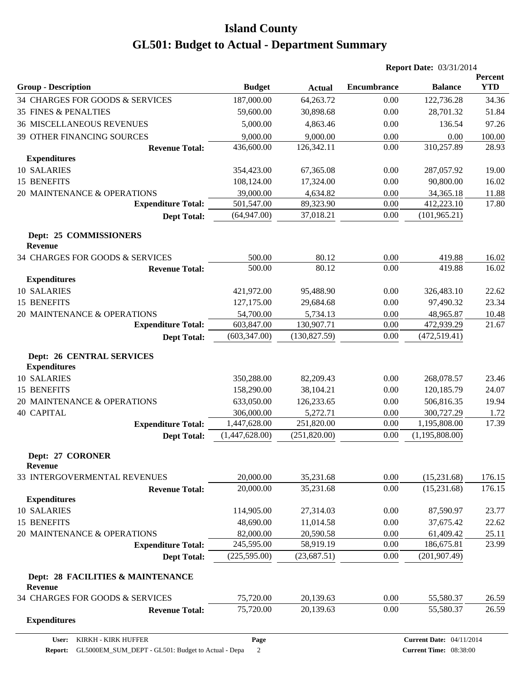|                                                         |                         |                        | <b>Report Date: 03/31/2014</b> |                                 |                       |
|---------------------------------------------------------|-------------------------|------------------------|--------------------------------|---------------------------------|-----------------------|
| <b>Group - Description</b>                              | <b>Budget</b>           | <b>Actual</b>          | <b>Encumbrance</b>             | <b>Balance</b>                  | Percent<br><b>YTD</b> |
| 34 CHARGES FOR GOODS & SERVICES                         | 187,000.00              | 64,263.72              | 0.00                           | 122,736.28                      | 34.36                 |
| <b>35 FINES &amp; PENALTIES</b>                         | 59,600.00               | 30,898.68              | 0.00                           | 28,701.32                       | 51.84                 |
| <b>36 MISCELLANEOUS REVENUES</b>                        | 5,000.00                | 4,863.46               | 0.00                           | 136.54                          | 97.26                 |
| 39 OTHER FINANCING SOURCES                              | 9,000.00                | 9,000.00               | 0.00                           | 0.00                            | 100.00                |
| <b>Revenue Total:</b>                                   | 436,600.00              | 126,342.11             | 0.00                           | 310,257.89                      | 28.93                 |
| <b>Expenditures</b>                                     |                         |                        |                                |                                 |                       |
| 10 SALARIES                                             | 354,423.00              | 67,365.08              | 0.00                           | 287,057.92                      | 19.00                 |
| 15 BENEFITS                                             | 108,124.00              | 17,324.00              | 0.00                           | 90,800.00                       | 16.02                 |
| 20 MAINTENANCE & OPERATIONS                             | 39,000.00               | 4,634.82               | 0.00                           | 34,365.18                       | 11.88                 |
| <b>Expenditure Total:</b>                               | 501,547.00              | 89,323.90              | 0.00                           | 412,223.10                      | 17.80                 |
| <b>Dept Total:</b>                                      | (64, 947.00)            | 37,018.21              | 0.00                           | (101, 965.21)                   |                       |
| Dept: 25 COMMISSIONERS<br><b>Revenue</b>                |                         |                        |                                |                                 |                       |
| 34 CHARGES FOR GOODS & SERVICES                         | 500.00                  | 80.12                  | 0.00                           | 419.88                          | 16.02                 |
| <b>Revenue Total:</b>                                   | 500.00                  | 80.12                  | 0.00                           | 419.88                          | 16.02                 |
| <b>Expenditures</b>                                     |                         |                        |                                |                                 |                       |
| 10 SALARIES                                             | 421,972.00              | 95,488.90              | 0.00                           | 326,483.10                      | 22.62                 |
| 15 BENEFITS                                             | 127,175.00              | 29,684.68              | 0.00                           | 97,490.32                       | 23.34                 |
| 20 MAINTENANCE & OPERATIONS                             | 54,700.00               | 5,734.13               | 0.00                           | 48,965.87                       | 10.48                 |
| <b>Expenditure Total:</b>                               | 603,847.00              | 130,907.71             | 0.00                           | 472,939.29                      | 21.67                 |
| <b>Dept Total:</b>                                      | (603, 347.00)           | (130, 827.59)          | 0.00                           | (472, 519.41)                   |                       |
| <b>Dept: 26 CENTRAL SERVICES</b><br><b>Expenditures</b> |                         |                        |                                |                                 |                       |
| 10 SALARIES                                             | 350,288.00              | 82,209.43              | 0.00                           | 268,078.57                      | 23.46                 |
| 15 BENEFITS                                             | 158,290.00              | 38,104.21              | 0.00                           | 120,185.79                      | 24.07                 |
| 20 MAINTENANCE & OPERATIONS                             | 633,050.00              | 126,233.65             | 0.00                           | 506,816.35                      | 19.94                 |
| <b>40 CAPITAL</b>                                       | 306,000.00              | 5,272.71               | 0.00                           | 300,727.29                      | 1.72                  |
| <b>Expenditure Total:</b>                               | 1,447,628.00            | 251,820.00             | 0.00                           | 1,195,808.00                    | 17.39                 |
| <b>Dept Total:</b>                                      | (1,447,628.00)          | (251,820.00)           | 0.00                           | (1,195,808.00)                  |                       |
| Dept: 27 CORONER<br><b>Revenue</b>                      |                         |                        |                                |                                 |                       |
| 33 INTERGOVERMENTAL REVENUES                            | 20,000.00               | 35,231.68              | 0.00                           | (15,231.68)                     | 176.15                |
| <b>Revenue Total:</b>                                   | 20,000.00               | 35,231.68              | 0.00                           | (15, 231.68)                    | 176.15                |
| <b>Expenditures</b>                                     |                         |                        |                                |                                 |                       |
| 10 SALARIES                                             | 114,905.00              | 27,314.03              | 0.00                           | 87,590.97                       | 23.77                 |
| 15 BENEFITS                                             | 48,690.00               | 11,014.58              | 0.00                           | 37,675.42                       | 22.62                 |
| 20 MAINTENANCE & OPERATIONS                             | 82,000.00<br>245,595.00 | 20,590.58<br>58,919.19 | 0.00<br>0.00                   | 61,409.42<br>186,675.81         | 25.11<br>23.99        |
| <b>Expenditure Total:</b>                               | (225, 595.00)           |                        |                                |                                 |                       |
| <b>Dept Total:</b>                                      |                         | (23, 687.51)           | 0.00                           | (201, 907.49)                   |                       |
| Dept: 28 FACILITIES & MAINTENANCE<br><b>Revenue</b>     |                         |                        |                                |                                 |                       |
| 34 CHARGES FOR GOODS & SERVICES                         | 75,720.00               | 20,139.63              | 0.00                           | 55,580.37                       | 26.59                 |
| <b>Revenue Total:</b><br><b>Expenditures</b>            | 75,720.00               | 20,139.63              | 0.00                           | 55,580.37                       | 26.59                 |
| KIRKH - KIRK HUFFER<br>User:                            | Page                    |                        |                                | <b>Current Date: 04/11/2014</b> |                       |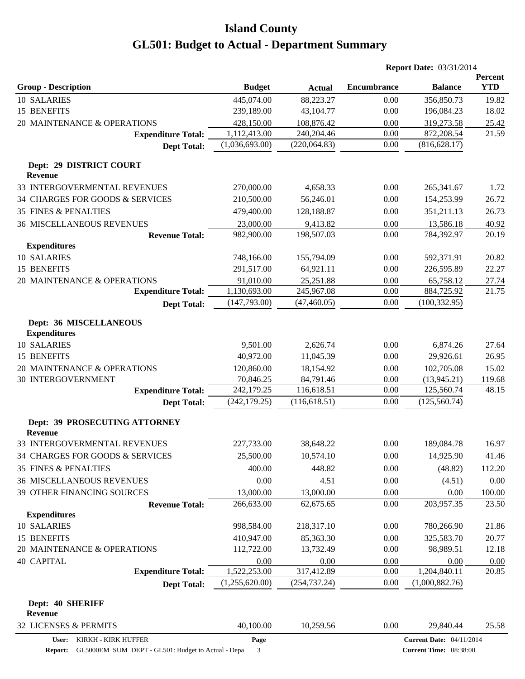|                                                 |                |               | <b>Report Date: 03/31/2014</b> |                                 |                       |
|-------------------------------------------------|----------------|---------------|--------------------------------|---------------------------------|-----------------------|
| <b>Group - Description</b>                      | <b>Budget</b>  | <b>Actual</b> | <b>Encumbrance</b>             | <b>Balance</b>                  | Percent<br><b>YTD</b> |
| 10 SALARIES                                     | 445,074.00     | 88,223.27     | 0.00                           | 356,850.73                      | 19.82                 |
| 15 BENEFITS                                     | 239,189.00     | 43,104.77     | 0.00                           | 196,084.23                      | 18.02                 |
| 20 MAINTENANCE & OPERATIONS                     | 428,150.00     | 108,876.42    | 0.00                           | 319,273.58                      | 25.42                 |
| <b>Expenditure Total:</b>                       | 1,112,413.00   | 240,204.46    | 0.00                           | 872,208.54                      | 21.59                 |
| <b>Dept Total:</b>                              | (1,036,693.00) | (220,064.83)  | 0.00                           | (816, 628.17)                   |                       |
| Dept: 29 DISTRICT COURT<br><b>Revenue</b>       |                |               |                                |                                 |                       |
| 33 INTERGOVERMENTAL REVENUES                    | 270,000.00     | 4,658.33      | 0.00                           | 265,341.67                      | 1.72                  |
| 34 CHARGES FOR GOODS & SERVICES                 | 210,500.00     | 56,246.01     | 0.00                           | 154,253.99                      | 26.72                 |
| <b>35 FINES &amp; PENALTIES</b>                 | 479,400.00     | 128,188.87    | 0.00                           | 351,211.13                      | 26.73                 |
| <b>36 MISCELLANEOUS REVENUES</b>                | 23,000.00      | 9,413.82      | 0.00                           | 13,586.18                       | 40.92                 |
| <b>Revenue Total:</b>                           | 982,900.00     | 198,507.03    | 0.00                           | 784,392.97                      | 20.19                 |
| <b>Expenditures</b>                             |                |               |                                |                                 |                       |
| 10 SALARIES                                     | 748,166.00     | 155,794.09    | 0.00                           | 592,371.91                      | 20.82                 |
| 15 BENEFITS                                     | 291,517.00     | 64,921.11     | 0.00                           | 226,595.89                      | 22.27                 |
| 20 MAINTENANCE & OPERATIONS                     | 91,010.00      | 25,251.88     | 0.00                           | 65,758.12                       | 27.74                 |
| <b>Expenditure Total:</b>                       | 1,130,693.00   | 245,967.08    | 0.00                           | 884,725.92                      | 21.75                 |
| <b>Dept Total:</b>                              | (147,793.00)   | (47, 460.05)  | 0.00                           | (100, 332.95)                   |                       |
| Dept: 36 MISCELLANEOUS<br><b>Expenditures</b>   |                |               |                                |                                 |                       |
| 10 SALARIES                                     | 9,501.00       | 2,626.74      | 0.00                           | 6,874.26                        | 27.64                 |
| 15 BENEFITS                                     | 40,972.00      | 11,045.39     | 0.00                           | 29,926.61                       | 26.95                 |
| 20 MAINTENANCE & OPERATIONS                     | 120,860.00     | 18,154.92     | 0.00                           | 102,705.08                      | 15.02                 |
| 30 INTERGOVERNMENT                              | 70,846.25      | 84,791.46     | 0.00                           | (13, 945.21)                    | 119.68                |
| <b>Expenditure Total:</b>                       | 242,179.25     | 116,618.51    | 0.00                           | 125,560.74                      | 48.15                 |
| <b>Dept Total:</b>                              | (242, 179.25)  | (116, 618.51) | 0.00                           | (125, 560.74)                   |                       |
| Dept: 39 PROSECUTING ATTORNEY<br><b>Revenue</b> |                |               |                                |                                 |                       |
| 33 INTERGOVERMENTAL REVENUES                    | 227,733.00     | 38,648.22     | 0.00                           | 189,084.78                      | 16.97                 |
| 34 CHARGES FOR GOODS & SERVICES                 | 25,500.00      | 10,574.10     | 0.00                           | 14,925.90                       | 41.46                 |
| 35 FINES & PENALTIES                            | 400.00         | 448.82        | 0.00                           | (48.82)                         | 112.20                |
| <b>36 MISCELLANEOUS REVENUES</b>                | 0.00           | 4.51          | 0.00                           | (4.51)                          | $0.00\,$              |
| 39 OTHER FINANCING SOURCES                      | 13,000.00      | 13,000.00     | 0.00                           | 0.00                            | 100.00                |
| <b>Revenue Total:</b>                           | 266,633.00     | 62,675.65     | $0.00\,$                       | 203,957.35                      | 23.50                 |
| <b>Expenditures</b>                             |                |               |                                |                                 |                       |
| 10 SALARIES                                     | 998,584.00     | 218,317.10    | 0.00                           | 780,266.90                      | 21.86                 |
| 15 BENEFITS                                     | 410,947.00     | 85,363.30     | 0.00                           | 325,583.70                      | 20.77                 |
| 20 MAINTENANCE & OPERATIONS                     | 112,722.00     | 13,732.49     | 0.00                           | 98,989.51                       | 12.18                 |
| <b>40 CAPITAL</b>                               | 0.00           | 0.00          | 0.00                           | 0.00                            | 0.00                  |
| <b>Expenditure Total:</b>                       | 1,522,253.00   | 317,412.89    | 0.00                           | 1,204,840.11                    | 20.85                 |
| <b>Dept Total:</b>                              | (1,255,620.00) | (254, 737.24) | 0.00                           | (1,000,882.76)                  |                       |
| Dept: 40 SHERIFF<br><b>Revenue</b>              |                |               |                                |                                 |                       |
| 32 LICENSES & PERMITS                           | 40,100.00      | 10,259.56     | 0.00                           | 29,840.44                       | 25.58                 |
| User: KIRKH - KIRK HUFFER                       | Page           |               |                                | <b>Current Date: 04/11/2014</b> |                       |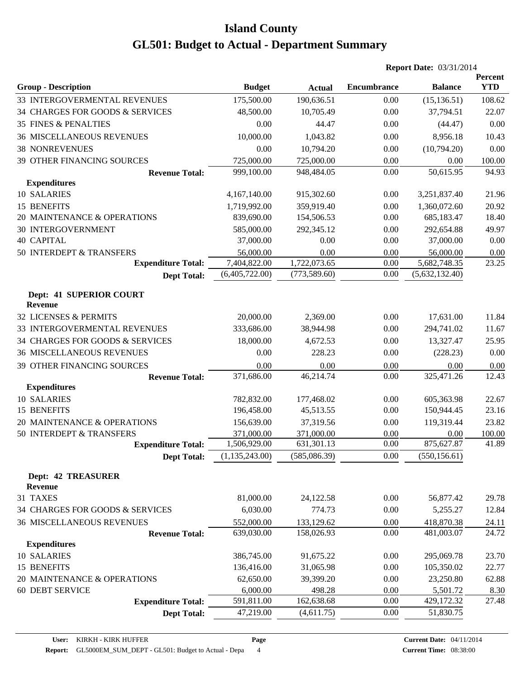|                                             |                  |               | <b>Report Date: 03/31/2014</b> |                |                       |
|---------------------------------------------|------------------|---------------|--------------------------------|----------------|-----------------------|
| <b>Group - Description</b>                  | <b>Budget</b>    | <b>Actual</b> | <b>Encumbrance</b>             | <b>Balance</b> | Percent<br><b>YTD</b> |
| 33 INTERGOVERMENTAL REVENUES                | 175,500.00       | 190,636.51    | 0.00                           | (15, 136.51)   | 108.62                |
| 34 CHARGES FOR GOODS & SERVICES             | 48,500.00        | 10,705.49     | 0.00                           | 37,794.51      | 22.07                 |
| <b>35 FINES &amp; PENALTIES</b>             | 0.00             | 44.47         | 0.00                           | (44.47)        | 0.00                  |
| <b>36 MISCELLANEOUS REVENUES</b>            | 10,000.00        | 1,043.82      | 0.00                           | 8,956.18       | 10.43                 |
| <b>38 NONREVENUES</b>                       | 0.00             | 10,794.20     | 0.00                           | (10,794.20)    | 0.00                  |
| <b>39 OTHER FINANCING SOURCES</b>           | 725,000.00       | 725,000.00    | 0.00                           | 0.00           | 100.00                |
| <b>Revenue Total:</b>                       | 999,100.00       | 948,484.05    | 0.00                           | 50,615.95      | 94.93                 |
| <b>Expenditures</b>                         |                  |               |                                |                |                       |
| 10 SALARIES                                 | 4,167,140.00     | 915,302.60    | 0.00                           | 3,251,837.40   | 21.96                 |
| 15 BENEFITS                                 | 1,719,992.00     | 359,919.40    | 0.00                           | 1,360,072.60   | 20.92                 |
| 20 MAINTENANCE & OPERATIONS                 | 839,690.00       | 154,506.53    | 0.00                           | 685,183.47     | 18.40                 |
| <b>30 INTERGOVERNMENT</b>                   | 585,000.00       | 292,345.12    | 0.00                           | 292,654.88     | 49.97                 |
| <b>40 CAPITAL</b>                           | 37,000.00        | 0.00          | 0.00                           | 37,000.00      | 0.00                  |
| 50 INTERDEPT & TRANSFERS                    | 56,000.00        | 0.00          | 0.00                           | 56,000.00      | 0.00                  |
| <b>Expenditure Total:</b>                   | 7,404,822.00     | 1,722,073.65  | 0.00                           | 5,682,748.35   | 23.25                 |
| <b>Dept Total:</b>                          | (6,405,722.00)   | (773, 589.60) | 0.00                           | (5,632,132.40) |                       |
| Dept: 41 SUPERIOR COURT<br><b>Revenue</b>   |                  |               |                                |                |                       |
| 32 LICENSES & PERMITS                       | 20,000.00        | 2,369.00      | 0.00                           | 17,631.00      | 11.84                 |
| 33 INTERGOVERMENTAL REVENUES                | 333,686.00       | 38,944.98     | 0.00                           | 294,741.02     | 11.67                 |
| 34 CHARGES FOR GOODS & SERVICES             | 18,000.00        | 4,672.53      | 0.00                           | 13,327.47      | 25.95                 |
| <b>36 MISCELLANEOUS REVENUES</b>            | 0.00             | 228.23        | 0.00                           | (228.23)       | 0.00                  |
| 39 OTHER FINANCING SOURCES                  | 0.00             | 0.00          | 0.00                           | 0.00           | 0.00                  |
| <b>Revenue Total:</b>                       | 371,686.00       | 46,214.74     | 0.00                           | 325,471.26     | 12.43                 |
| <b>Expenditures</b>                         |                  |               |                                |                |                       |
| 10 SALARIES                                 | 782,832.00       | 177,468.02    | 0.00                           | 605,363.98     | 22.67                 |
| 15 BENEFITS                                 | 196,458.00       | 45,513.55     | 0.00                           | 150,944.45     | 23.16                 |
| 20 MAINTENANCE & OPERATIONS                 | 156,639.00       | 37,319.56     | 0.00                           | 119,319.44     | 23.82                 |
| 50 INTERDEPT & TRANSFERS                    | 371,000.00       | 371,000.00    | 0.00                           | 0.00           | 100.00                |
| <b>Expenditure Total:</b>                   | 1,506,929.00     | 631,301.13    | 0.00                           | 875,627.87     | 41.89                 |
| <b>Dept Total:</b>                          | (1, 135, 243.00) | (585,086.39)  | 0.00                           | (550, 156.61)  |                       |
| <b>Dept: 42 TREASURER</b><br><b>Revenue</b> |                  |               |                                |                |                       |
| 31 TAXES                                    | 81,000.00        | 24,122.58     | 0.00                           | 56,877.42      | 29.78                 |
| 34 CHARGES FOR GOODS & SERVICES             | 6,030.00         | 774.73        | 0.00                           | 5,255.27       | 12.84                 |
| <b>36 MISCELLANEOUS REVENUES</b>            | 552,000.00       | 133,129.62    | 0.00                           | 418,870.38     | 24.11                 |
| <b>Revenue Total:</b>                       | 639,030.00       | 158,026.93    | 0.00                           | 481,003.07     | 24.72                 |
| <b>Expenditures</b>                         |                  |               |                                |                |                       |
| 10 SALARIES                                 | 386,745.00       | 91,675.22     | 0.00                           | 295,069.78     | 23.70                 |
| 15 BENEFITS                                 | 136,416.00       | 31,065.98     | 0.00                           | 105,350.02     | 22.77                 |
| 20 MAINTENANCE & OPERATIONS                 | 62,650.00        | 39,399.20     | 0.00                           | 23,250.80      | 62.88                 |
| 60 DEBT SERVICE                             | 6,000.00         | 498.28        | 0.00                           | 5,501.72       | 8.30                  |
| <b>Expenditure Total:</b>                   | 591,811.00       | 162,638.68    | 0.00                           | 429,172.32     | 27.48                 |
| <b>Dept Total:</b>                          | 47,219.00        | (4,611.75)    | 0.00                           | 51,830.75      |                       |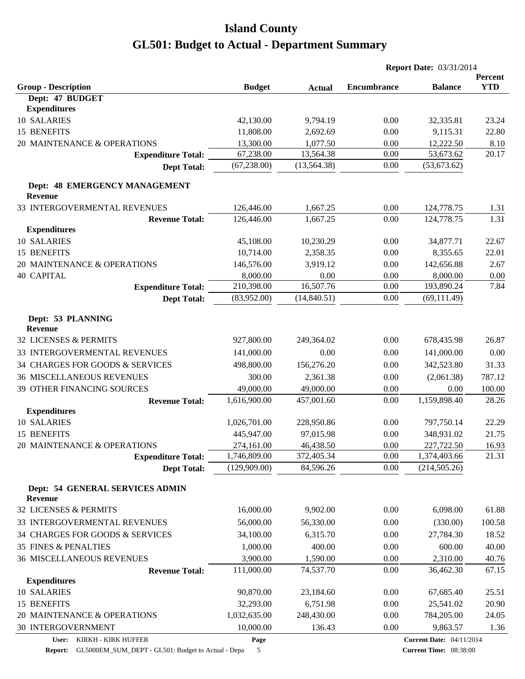|                                                 |               |               | <b>Report Date: 03/31/2014</b> |                                 |                       |
|-------------------------------------------------|---------------|---------------|--------------------------------|---------------------------------|-----------------------|
| <b>Group - Description</b>                      | <b>Budget</b> | <b>Actual</b> | <b>Encumbrance</b>             | <b>Balance</b>                  | Percent<br><b>YTD</b> |
| Dept: 47 BUDGET                                 |               |               |                                |                                 |                       |
| <b>Expenditures</b>                             |               |               |                                |                                 |                       |
| 10 SALARIES                                     | 42,130.00     | 9,794.19      | 0.00                           | 32,335.81                       | 23.24                 |
| 15 BENEFITS                                     | 11,808.00     | 2,692.69      | 0.00                           | 9,115.31                        | 22.80                 |
| 20 MAINTENANCE & OPERATIONS                     | 13,300.00     | 1,077.50      | 0.00                           | 12,222.50                       | 8.10                  |
| <b>Expenditure Total:</b>                       | 67,238.00     | 13,564.38     | 0.00                           | 53,673.62                       | 20.17                 |
| <b>Dept Total:</b>                              | (67, 238.00)  | (13, 564.38)  | 0.00                           | (53,673.62)                     |                       |
| Dept: 48 EMERGENCY MANAGEMENT<br><b>Revenue</b> |               |               |                                |                                 |                       |
| 33 INTERGOVERMENTAL REVENUES                    | 126,446.00    | 1,667.25      | 0.00                           | 124,778.75                      | 1.31                  |
| <b>Revenue Total:</b>                           | 126,446.00    | 1,667.25      | 0.00                           | 124,778.75                      | 1.31                  |
| <b>Expenditures</b>                             |               |               |                                |                                 |                       |
| 10 SALARIES                                     | 45,108.00     | 10,230.29     | 0.00                           | 34,877.71                       | 22.67                 |
| 15 BENEFITS                                     | 10,714.00     | 2,358.35      | 0.00                           | 8,355.65                        | 22.01                 |
| 20 MAINTENANCE & OPERATIONS                     | 146,576.00    | 3,919.12      | 0.00                           | 142,656.88                      | 2.67                  |
| <b>40 CAPITAL</b>                               | 8,000.00      | 0.00          | 0.00                           | 8,000.00                        | 0.00                  |
| <b>Expenditure Total:</b>                       | 210,398.00    | 16,507.76     | 0.00                           | 193,890.24                      | 7.84                  |
| <b>Dept Total:</b>                              | (83,952.00)   | (14,840.51)   | 0.00                           | (69, 111.49)                    |                       |
| Dept: 53 PLANNING<br><b>Revenue</b>             |               |               |                                |                                 |                       |
| 32 LICENSES & PERMITS                           | 927,800.00    | 249,364.02    | 0.00                           | 678,435.98                      | 26.87                 |
| 33 INTERGOVERMENTAL REVENUES                    | 141,000.00    | 0.00          | 0.00                           | 141,000.00                      | 0.00                  |
| 34 CHARGES FOR GOODS & SERVICES                 | 498,800.00    | 156,276.20    | 0.00                           | 342,523.80                      | 31.33                 |
| <b>36 MISCELLANEOUS REVENUES</b>                | 300.00        | 2,361.38      | 0.00                           | (2,061.38)                      | 787.12                |
| 39 OTHER FINANCING SOURCES                      | 49,000.00     | 49,000.00     | 0.00                           | 0.00                            | 100.00                |
| <b>Revenue Total:</b>                           | 1,616,900.00  | 457,001.60    | 0.00                           | 1,159,898.40                    | 28.26                 |
| <b>Expenditures</b>                             |               |               |                                |                                 |                       |
| 10 SALARIES                                     | 1,026,701.00  | 228,950.86    | 0.00                           | 797,750.14                      | 22.29                 |
| 15 BENEFITS                                     | 445,947.00    | 97,015.98     | 0.00                           | 348,931.02                      | 21.75                 |
| 20 MAINTENANCE & OPERATIONS                     | 274,161.00    | 46,438.50     | 0.00                           | 227,722.50                      | 16.93                 |
| <b>Expenditure Total:</b>                       | 1,746,809.00  | 372,405.34    | 0.00                           | 1,374,403.66                    | 21.31                 |
| <b>Dept Total:</b>                              | (129,909.00)  | 84,596.26     | 0.00                           | (214, 505.26)                   |                       |
| Dept: 54 GENERAL SERVICES ADMIN                 |               |               |                                |                                 |                       |
| <b>Revenue</b><br>32 LICENSES & PERMITS         | 16,000.00     | 9,902.00      | 0.00                           | 6,098.00                        | 61.88                 |
|                                                 |               |               |                                |                                 |                       |
| 33 INTERGOVERMENTAL REVENUES                    | 56,000.00     | 56,330.00     | 0.00                           | (330.00)                        | 100.58                |
| 34 CHARGES FOR GOODS & SERVICES                 | 34,100.00     | 6,315.70      | 0.00                           | 27,784.30                       | 18.52                 |
| 35 FINES & PENALTIES                            | 1,000.00      | 400.00        | 0.00                           | 600.00                          | 40.00                 |
| <b>36 MISCELLANEOUS REVENUES</b>                | 3,900.00      | 1,590.00      | 0.00                           | 2,310.00                        | 40.76                 |
| <b>Revenue Total:</b>                           | 111,000.00    | 74,537.70     | 0.00                           | 36,462.30                       | 67.15                 |
| <b>Expenditures</b>                             |               |               |                                |                                 |                       |
| 10 SALARIES                                     | 90,870.00     | 23,184.60     | 0.00                           | 67,685.40                       | 25.51                 |
| 15 BENEFITS                                     | 32,293.00     | 6,751.98      | 0.00                           | 25,541.02                       | 20.90                 |
| 20 MAINTENANCE & OPERATIONS                     | 1,032,635.00  | 248,430.00    | 0.00                           | 784,205.00                      | 24.05                 |
| <b>30 INTERGOVERNMENT</b>                       | 10,000.00     | 136.43        | 0.00                           | 9,863.57                        | 1.36                  |
| User: KIRKH - KIRK HUFFER                       | Page          |               |                                | <b>Current Date: 04/11/2014</b> |                       |

**Report:** GL5000EM\_SUM\_DEPT - GL501: Budget to Actual - Depa 5

**Page**

**Current Date:** 04/11/2014 **Current Time:** 08:38:00